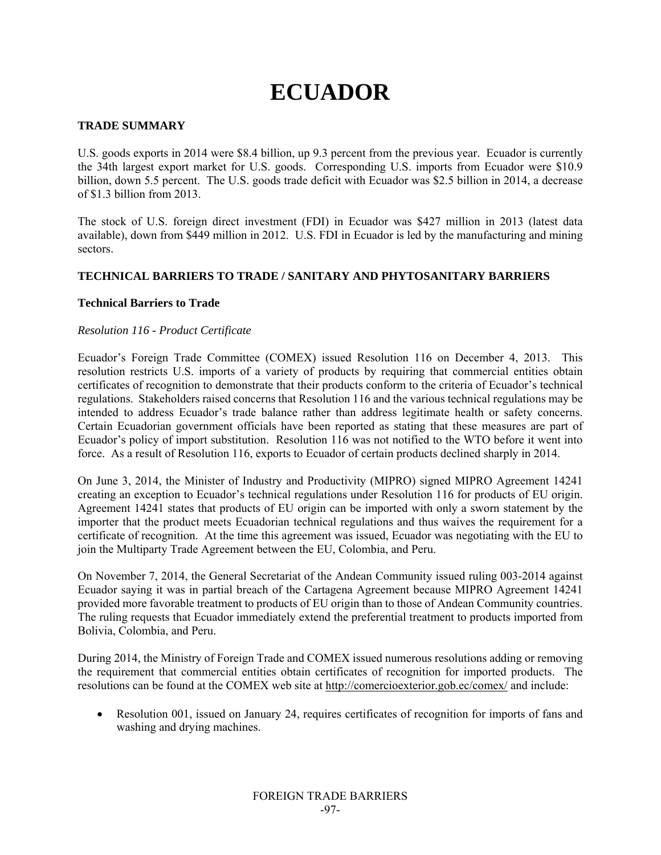# **ECUADOR**

### **TRADE SUMMARY**

U.S. goods exports in 2014 were \$8.4 billion, up 9.3 percent from the previous year. Ecuador is currently the 34th largest export market for U.S. goods. Corresponding U.S. imports from Ecuador were \$10.9 billion, down 5.5 percent. The U.S. goods trade deficit with Ecuador was \$2.5 billion in 2014, a decrease of \$1.3 billion from 2013.

The stock of U.S. foreign direct investment (FDI) in Ecuador was \$427 million in 2013 (latest data available), down from \$449 million in 2012. U.S. FDI in Ecuador is led by the manufacturing and mining sectors.

## **TECHNICAL BARRIERS TO TRADE / SANITARY AND PHYTOSANITARY BARRIERS**

#### **Technical Barriers to Trade**

#### *Resolution 116 - Product Certificate*

Ecuador's Foreign Trade Committee (COMEX) issued Resolution 116 on December 4, 2013. This resolution restricts U.S. imports of a variety of products by requiring that commercial entities obtain certificates of recognition to demonstrate that their products conform to the criteria of Ecuador's technical regulations. Stakeholders raised concerns that Resolution 116 and the various technical regulations may be intended to address Ecuador's trade balance rather than address legitimate health or safety concerns. Certain Ecuadorian government officials have been reported as stating that these measures are part of Ecuador's policy of import substitution. Resolution 116 was not notified to the WTO before it went into force. As a result of Resolution 116, exports to Ecuador of certain products declined sharply in 2014.

On June 3, 2014, the Minister of Industry and Productivity (MIPRO) signed MIPRO Agreement 14241 creating an exception to Ecuador's technical regulations under Resolution 116 for products of EU origin. Agreement 14241 states that products of EU origin can be imported with only a sworn statement by the importer that the product meets Ecuadorian technical regulations and thus waives the requirement for a certificate of recognition. At the time this agreement was issued, Ecuador was negotiating with the EU to join the Multiparty Trade Agreement between the EU, Colombia, and Peru.

On November 7, 2014, the General Secretariat of the Andean Community issued ruling 003-2014 against Ecuador saying it was in partial breach of the Cartagena Agreement because MIPRO Agreement 14241 provided more favorable treatment to products of EU origin than to those of Andean Community countries. The ruling requests that Ecuador immediately extend the preferential treatment to products imported from Bolivia, Colombia, and Peru.

During 2014, the Ministry of Foreign Trade and COMEX issued numerous resolutions adding or removing the requirement that commercial entities obtain certificates of recognition for imported products. The resolutions can be found at the COMEX web site at http://comercioexterior.gob.ec/comex/ and include:

 Resolution 001, issued on January 24, requires certificates of recognition for imports of fans and washing and drying machines.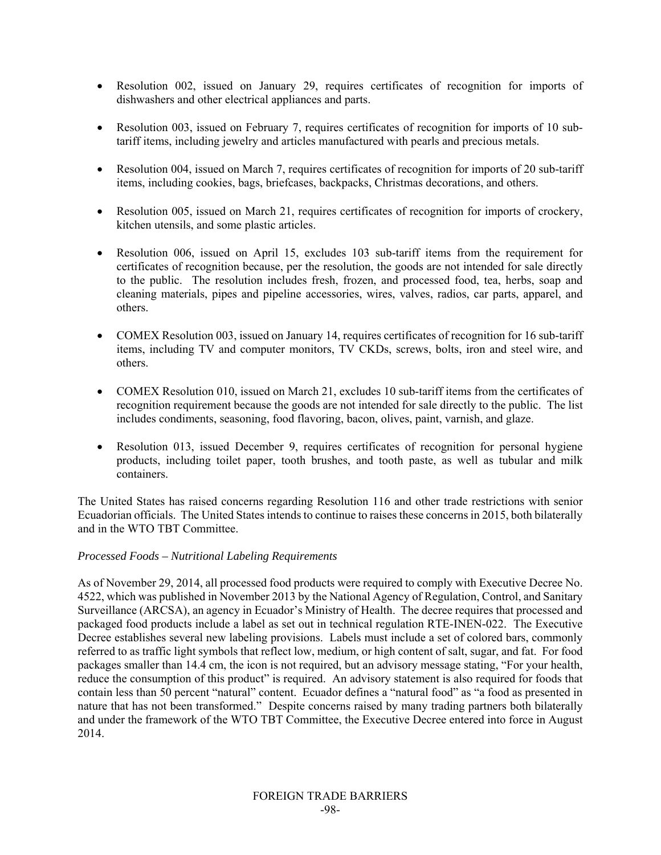- Resolution 002, issued on January 29, requires certificates of recognition for imports of dishwashers and other electrical appliances and parts.
- Resolution 003, issued on February 7, requires certificates of recognition for imports of 10 subtariff items, including jewelry and articles manufactured with pearls and precious metals.
- Resolution 004, issued on March 7, requires certificates of recognition for imports of 20 sub-tariff items, including cookies, bags, briefcases, backpacks, Christmas decorations, and others.
- Resolution 005, issued on March 21, requires certificates of recognition for imports of crockery, kitchen utensils, and some plastic articles.
- Resolution 006, issued on April 15, excludes 103 sub-tariff items from the requirement for certificates of recognition because, per the resolution, the goods are not intended for sale directly to the public. The resolution includes fresh, frozen, and processed food, tea, herbs, soap and cleaning materials, pipes and pipeline accessories, wires, valves, radios, car parts, apparel, and others.
- COMEX Resolution 003, issued on January 14, requires certificates of recognition for 16 sub-tariff items, including TV and computer monitors, TV CKDs, screws, bolts, iron and steel wire, and others.
- COMEX Resolution 010, issued on March 21, excludes 10 sub-tariff items from the certificates of recognition requirement because the goods are not intended for sale directly to the public. The list includes condiments, seasoning, food flavoring, bacon, olives, paint, varnish, and glaze.
- Resolution 013, issued December 9, requires certificates of recognition for personal hygiene products, including toilet paper, tooth brushes, and tooth paste, as well as tubular and milk containers.

The United States has raised concerns regarding Resolution 116 and other trade restrictions with senior Ecuadorian officials. The United States intends to continue to raises these concerns in 2015, both bilaterally and in the WTO TBT Committee.

#### *Processed Foods – Nutritional Labeling Requirements*

As of November 29, 2014, all processed food products were required to comply with Executive Decree No. 4522, which was published in November 2013 by the National Agency of Regulation, Control, and Sanitary Surveillance (ARCSA), an agency in Ecuador's Ministry of Health. The decree requires that processed and packaged food products include a label as set out in technical regulation RTE-INEN-022. The Executive Decree establishes several new labeling provisions. Labels must include a set of colored bars, commonly referred to as traffic light symbols that reflect low, medium, or high content of salt, sugar, and fat. For food packages smaller than 14.4 cm, the icon is not required, but an advisory message stating, "For your health, reduce the consumption of this product" is required. An advisory statement is also required for foods that contain less than 50 percent "natural" content. Ecuador defines a "natural food" as "a food as presented in nature that has not been transformed." Despite concerns raised by many trading partners both bilaterally and under the framework of the WTO TBT Committee, the Executive Decree entered into force in August 2014.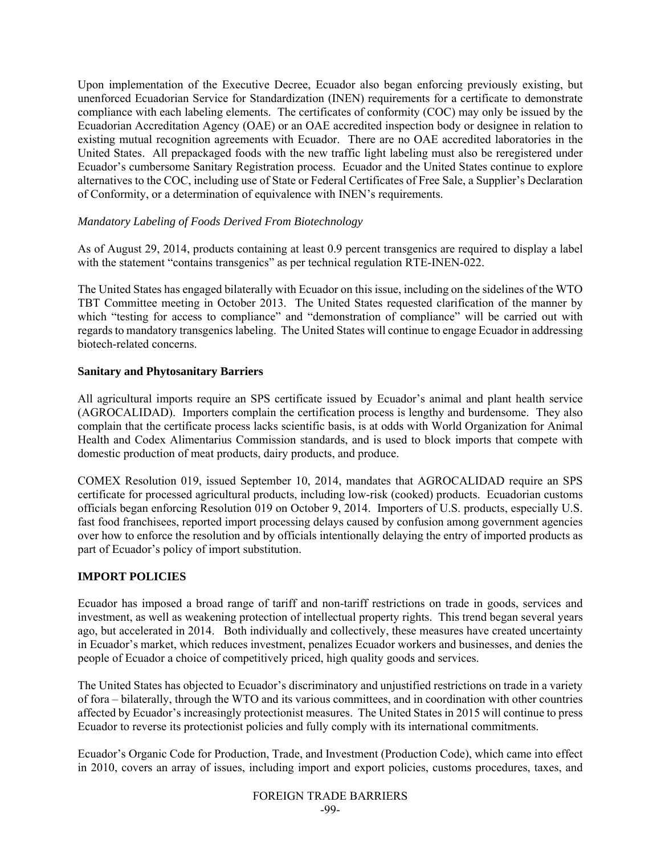Upon implementation of the Executive Decree, Ecuador also began enforcing previously existing, but unenforced Ecuadorian Service for Standardization (INEN) requirements for a certificate to demonstrate compliance with each labeling elements. The certificates of conformity (COC) may only be issued by the Ecuadorian Accreditation Agency (OAE) or an OAE accredited inspection body or designee in relation to existing mutual recognition agreements with Ecuador. There are no OAE accredited laboratories in the United States. All prepackaged foods with the new traffic light labeling must also be reregistered under Ecuador's cumbersome Sanitary Registration process. Ecuador and the United States continue to explore alternatives to the COC, including use of State or Federal Certificates of Free Sale, a Supplier's Declaration of Conformity, or a determination of equivalence with INEN's requirements.

## *Mandatory Labeling of Foods Derived From Biotechnology*

As of August 29, 2014, products containing at least 0.9 percent transgenics are required to display a label with the statement "contains transgenics" as per technical regulation RTE-INEN-022.

The United States has engaged bilaterally with Ecuador on this issue, including on the sidelines of the WTO TBT Committee meeting in October 2013. The United States requested clarification of the manner by which "testing for access to compliance" and "demonstration of compliance" will be carried out with regards to mandatory transgenics labeling. The United States will continue to engage Ecuador in addressing biotech-related concerns.

#### **Sanitary and Phytosanitary Barriers**

All agricultural imports require an SPS certificate issued by Ecuador's animal and plant health service (AGROCALIDAD). Importers complain the certification process is lengthy and burdensome. They also complain that the certificate process lacks scientific basis, is at odds with World Organization for Animal Health and Codex Alimentarius Commission standards, and is used to block imports that compete with domestic production of meat products, dairy products, and produce.

COMEX Resolution 019, issued September 10, 2014, mandates that AGROCALIDAD require an SPS certificate for processed agricultural products, including low-risk (cooked) products. Ecuadorian customs officials began enforcing Resolution 019 on October 9, 2014. Importers of U.S. products, especially U.S. fast food franchisees, reported import processing delays caused by confusion among government agencies over how to enforce the resolution and by officials intentionally delaying the entry of imported products as part of Ecuador's policy of import substitution.

# **IMPORT POLICIES**

Ecuador has imposed a broad range of tariff and non-tariff restrictions on trade in goods, services and investment, as well as weakening protection of intellectual property rights. This trend began several years ago, but accelerated in 2014. Both individually and collectively, these measures have created uncertainty in Ecuador's market, which reduces investment, penalizes Ecuador workers and businesses, and denies the people of Ecuador a choice of competitively priced, high quality goods and services.

The United States has objected to Ecuador's discriminatory and unjustified restrictions on trade in a variety of fora – bilaterally, through the WTO and its various committees, and in coordination with other countries affected by Ecuador's increasingly protectionist measures. The United States in 2015 will continue to press Ecuador to reverse its protectionist policies and fully comply with its international commitments.

Ecuador's Organic Code for Production, Trade, and Investment (Production Code), which came into effect in 2010, covers an array of issues, including import and export policies, customs procedures, taxes, and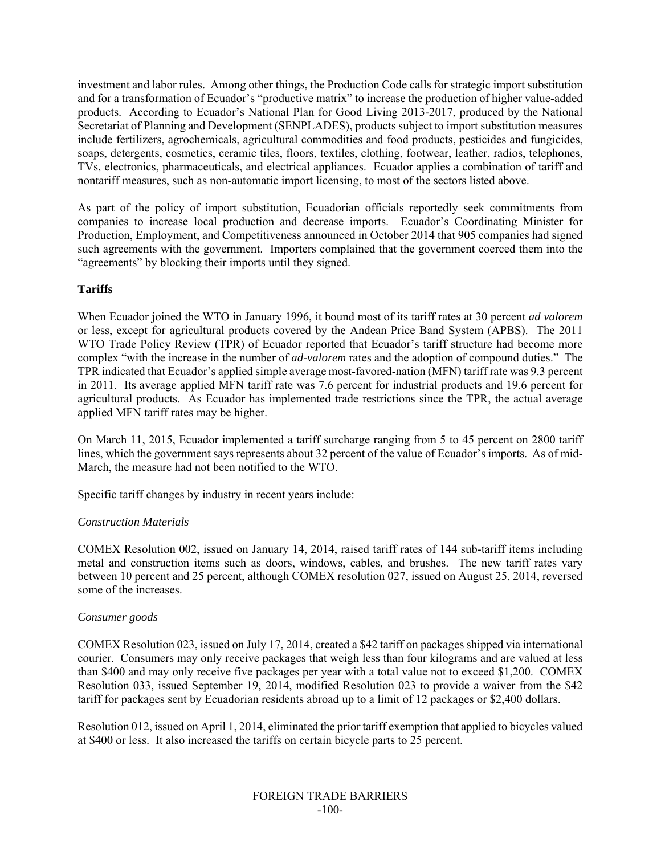investment and labor rules. Among other things, the Production Code calls for strategic import substitution and for a transformation of Ecuador's "productive matrix" to increase the production of higher value-added products. According to Ecuador's National Plan for Good Living 2013-2017, produced by the National Secretariat of Planning and Development (SENPLADES), products subject to import substitution measures include fertilizers, agrochemicals, agricultural commodities and food products, pesticides and fungicides, soaps, detergents, cosmetics, ceramic tiles, floors, textiles, clothing, footwear, leather, radios, telephones, TVs, electronics, pharmaceuticals, and electrical appliances. Ecuador applies a combination of tariff and nontariff measures, such as non-automatic import licensing, to most of the sectors listed above.

As part of the policy of import substitution, Ecuadorian officials reportedly seek commitments from companies to increase local production and decrease imports. Ecuador's Coordinating Minister for Production, Employment, and Competitiveness announced in October 2014 that 905 companies had signed such agreements with the government. Importers complained that the government coerced them into the "agreements" by blocking their imports until they signed.

## **Tariffs**

When Ecuador joined the WTO in January 1996, it bound most of its tariff rates at 30 percent *ad valorem* or less, except for agricultural products covered by the Andean Price Band System (APBS). The 2011 WTO Trade Policy Review (TPR) of Ecuador reported that Ecuador's tariff structure had become more complex "with the increase in the number of *ad-valorem* rates and the adoption of compound duties." The TPR indicated that Ecuador's applied simple average most-favored-nation (MFN) tariff rate was 9.3 percent in 2011. Its average applied MFN tariff rate was 7.6 percent for industrial products and 19.6 percent for agricultural products. As Ecuador has implemented trade restrictions since the TPR, the actual average applied MFN tariff rates may be higher.

On March 11, 2015, Ecuador implemented a tariff surcharge ranging from 5 to 45 percent on 2800 tariff lines, which the government says represents about 32 percent of the value of Ecuador's imports. As of mid-March, the measure had not been notified to the WTO.

Specific tariff changes by industry in recent years include:

#### *Construction Materials*

COMEX Resolution 002, issued on January 14, 2014, raised tariff rates of 144 sub-tariff items including metal and construction items such as doors, windows, cables, and brushes. The new tariff rates vary between 10 percent and 25 percent, although COMEX resolution 027, issued on August 25, 2014, reversed some of the increases.

#### *Consumer goods*

COMEX Resolution 023, issued on July 17, 2014, created a \$42 tariff on packages shipped via international courier. Consumers may only receive packages that weigh less than four kilograms and are valued at less than \$400 and may only receive five packages per year with a total value not to exceed \$1,200. COMEX Resolution 033, issued September 19, 2014, modified Resolution 023 to provide a waiver from the \$42 tariff for packages sent by Ecuadorian residents abroad up to a limit of 12 packages or \$2,400 dollars.

Resolution 012, issued on April 1, 2014, eliminated the prior tariff exemption that applied to bicycles valued at \$400 or less. It also increased the tariffs on certain bicycle parts to 25 percent.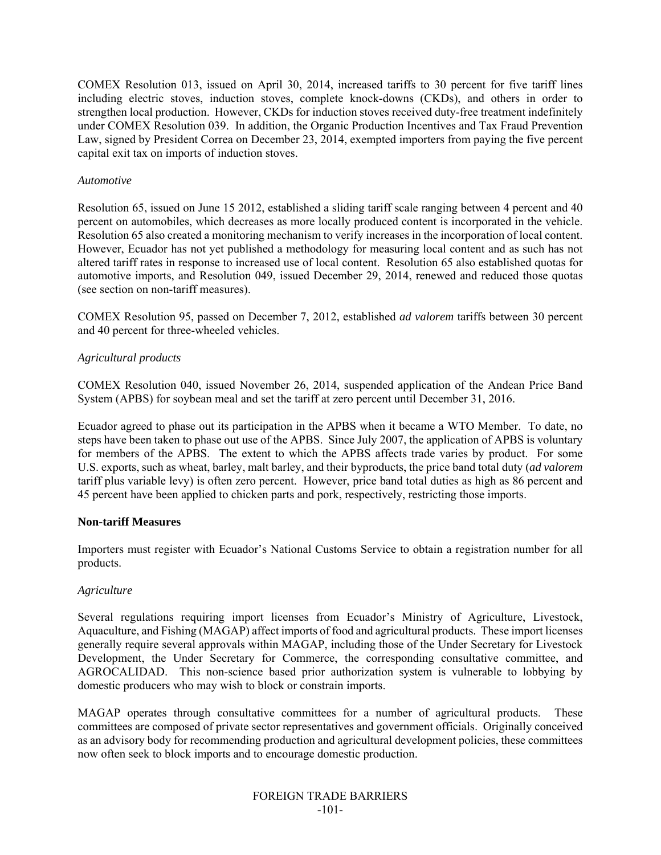COMEX Resolution 013, issued on April 30, 2014, increased tariffs to 30 percent for five tariff lines including electric stoves, induction stoves, complete knock-downs (CKDs), and others in order to strengthen local production. However, CKDs for induction stoves received duty-free treatment indefinitely under COMEX Resolution 039. In addition, the Organic Production Incentives and Tax Fraud Prevention Law, signed by President Correa on December 23, 2014, exempted importers from paying the five percent capital exit tax on imports of induction stoves.

#### *Automotive*

Resolution 65, issued on June 15 2012, established a sliding tariff scale ranging between 4 percent and 40 percent on automobiles, which decreases as more locally produced content is incorporated in the vehicle. Resolution 65 also created a monitoring mechanism to verify increases in the incorporation of local content. However, Ecuador has not yet published a methodology for measuring local content and as such has not altered tariff rates in response to increased use of local content. Resolution 65 also established quotas for automotive imports, and Resolution 049, issued December 29, 2014, renewed and reduced those quotas (see section on non-tariff measures).

COMEX Resolution 95, passed on December 7, 2012, established *ad valorem* tariffs between 30 percent and 40 percent for three-wheeled vehicles.

#### *Agricultural products*

COMEX Resolution 040, issued November 26, 2014, suspended application of the Andean Price Band System (APBS) for soybean meal and set the tariff at zero percent until December 31, 2016.

Ecuador agreed to phase out its participation in the APBS when it became a WTO Member. To date, no steps have been taken to phase out use of the APBS. Since July 2007, the application of APBS is voluntary for members of the APBS. The extent to which the APBS affects trade varies by product. For some U.S. exports, such as wheat, barley, malt barley, and their byproducts, the price band total duty (*ad valorem* tariff plus variable levy) is often zero percent. However, price band total duties as high as 86 percent and 45 percent have been applied to chicken parts and pork, respectively, restricting those imports.

#### **Non-tariff Measures**

Importers must register with Ecuador's National Customs Service to obtain a registration number for all products.

#### *Agriculture*

Several regulations requiring import licenses from Ecuador's Ministry of Agriculture, Livestock, Aquaculture, and Fishing (MAGAP) affect imports of food and agricultural products. These import licenses generally require several approvals within MAGAP, including those of the Under Secretary for Livestock Development, the Under Secretary for Commerce, the corresponding consultative committee, and AGROCALIDAD. This non-science based prior authorization system is vulnerable to lobbying by domestic producers who may wish to block or constrain imports.

MAGAP operates through consultative committees for a number of agricultural products. These committees are composed of private sector representatives and government officials. Originally conceived as an advisory body for recommending production and agricultural development policies, these committees now often seek to block imports and to encourage domestic production.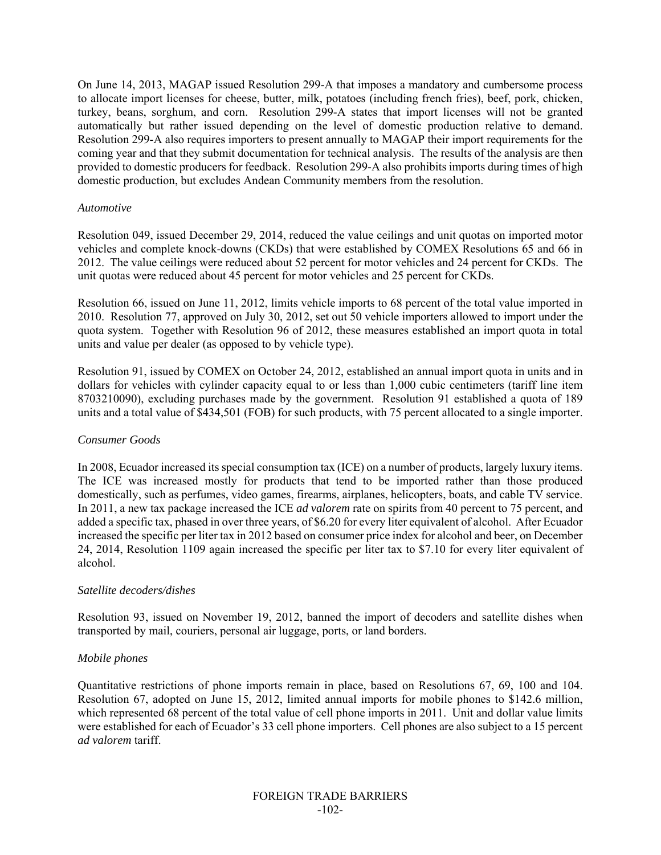On June 14, 2013, MAGAP issued Resolution 299-A that imposes a mandatory and cumbersome process to allocate import licenses for cheese, butter, milk, potatoes (including french fries), beef, pork, chicken, turkey, beans, sorghum, and corn. Resolution 299-A states that import licenses will not be granted automatically but rather issued depending on the level of domestic production relative to demand. Resolution 299-A also requires importers to present annually to MAGAP their import requirements for the coming year and that they submit documentation for technical analysis. The results of the analysis are then provided to domestic producers for feedback. Resolution 299-A also prohibits imports during times of high domestic production, but excludes Andean Community members from the resolution.

#### *Automotive*

Resolution 049, issued December 29, 2014, reduced the value ceilings and unit quotas on imported motor vehicles and complete knock-downs (CKDs) that were established by COMEX Resolutions 65 and 66 in 2012. The value ceilings were reduced about 52 percent for motor vehicles and 24 percent for CKDs. The unit quotas were reduced about 45 percent for motor vehicles and 25 percent for CKDs.

Resolution 66, issued on June 11, 2012, limits vehicle imports to 68 percent of the total value imported in 2010. Resolution 77, approved on July 30, 2012, set out 50 vehicle importers allowed to import under the quota system. Together with Resolution 96 of 2012, these measures established an import quota in total units and value per dealer (as opposed to by vehicle type).

Resolution 91, issued by COMEX on October 24, 2012, established an annual import quota in units and in dollars for vehicles with cylinder capacity equal to or less than 1,000 cubic centimeters (tariff line item 8703210090), excluding purchases made by the government. Resolution 91 established a quota of 189 units and a total value of \$434,501 (FOB) for such products, with 75 percent allocated to a single importer.

#### *Consumer Goods*

In 2008, Ecuador increased its special consumption tax (ICE) on a number of products, largely luxury items. The ICE was increased mostly for products that tend to be imported rather than those produced domestically, such as perfumes, video games, firearms, airplanes, helicopters, boats, and cable TV service. In 2011, a new tax package increased the ICE *ad valorem* rate on spirits from 40 percent to 75 percent, and added a specific tax, phased in over three years, of \$6.20 for every liter equivalent of alcohol. After Ecuador increased the specific per liter tax in 2012 based on consumer price index for alcohol and beer, on December 24, 2014, Resolution 1109 again increased the specific per liter tax to \$7.10 for every liter equivalent of alcohol.

#### *Satellite decoders/dishes*

Resolution 93, issued on November 19, 2012, banned the import of decoders and satellite dishes when transported by mail, couriers, personal air luggage, ports, or land borders.

#### *Mobile phones*

Quantitative restrictions of phone imports remain in place, based on Resolutions 67, 69, 100 and 104. Resolution 67, adopted on June 15, 2012, limited annual imports for mobile phones to \$142.6 million, which represented 68 percent of the total value of cell phone imports in 2011. Unit and dollar value limits were established for each of Ecuador's 33 cell phone importers. Cell phones are also subject to a 15 percent *ad valorem* tariff.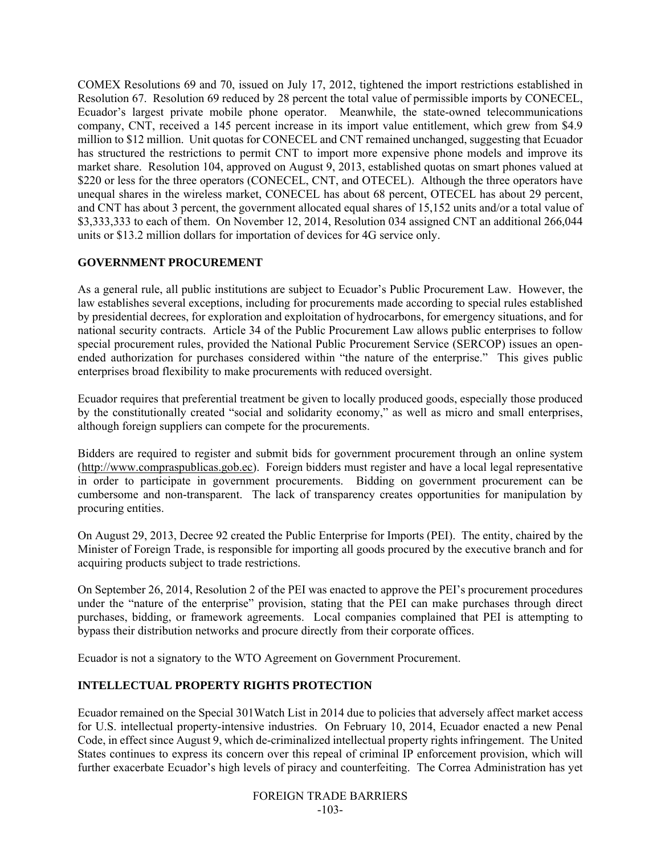COMEX Resolutions 69 and 70, issued on July 17, 2012, tightened the import restrictions established in Resolution 67. Resolution 69 reduced by 28 percent the total value of permissible imports by CONECEL, Ecuador's largest private mobile phone operator. Meanwhile, the state-owned telecommunications company, CNT, received a 145 percent increase in its import value entitlement, which grew from \$4.9 million to \$12 million. Unit quotas for CONECEL and CNT remained unchanged, suggesting that Ecuador has structured the restrictions to permit CNT to import more expensive phone models and improve its market share. Resolution 104, approved on August 9, 2013, established quotas on smart phones valued at \$220 or less for the three operators (CONECEL, CNT, and OTECEL). Although the three operators have unequal shares in the wireless market, CONECEL has about 68 percent, OTECEL has about 29 percent, and CNT has about 3 percent, the government allocated equal shares of 15,152 units and/or a total value of \$3,333,333 to each of them. On November 12, 2014, Resolution 034 assigned CNT an additional 266,044 units or \$13.2 million dollars for importation of devices for 4G service only.

# **GOVERNMENT PROCUREMENT**

As a general rule, all public institutions are subject to Ecuador's Public Procurement Law. However, the law establishes several exceptions, including for procurements made according to special rules established by presidential decrees, for exploration and exploitation of hydrocarbons, for emergency situations, and for national security contracts. Article 34 of the Public Procurement Law allows public enterprises to follow special procurement rules, provided the National Public Procurement Service (SERCOP) issues an openended authorization for purchases considered within "the nature of the enterprise." This gives public enterprises broad flexibility to make procurements with reduced oversight.

Ecuador requires that preferential treatment be given to locally produced goods, especially those produced by the constitutionally created "social and solidarity economy," as well as micro and small enterprises, although foreign suppliers can compete for the procurements.

Bidders are required to register and submit bids for government procurement through an online system (http://www.compraspublicas.gob.ec). Foreign bidders must register and have a local legal representative in order to participate in government procurements. Bidding on government procurement can be cumbersome and non-transparent. The lack of transparency creates opportunities for manipulation by procuring entities.

On August 29, 2013, Decree 92 created the Public Enterprise for Imports (PEI). The entity, chaired by the Minister of Foreign Trade, is responsible for importing all goods procured by the executive branch and for acquiring products subject to trade restrictions.

On September 26, 2014, Resolution 2 of the PEI was enacted to approve the PEI's procurement procedures under the "nature of the enterprise" provision, stating that the PEI can make purchases through direct purchases, bidding, or framework agreements. Local companies complained that PEI is attempting to bypass their distribution networks and procure directly from their corporate offices.

Ecuador is not a signatory to the WTO Agreement on Government Procurement.

# **INTELLECTUAL PROPERTY RIGHTS PROTECTION**

Ecuador remained on the Special 301Watch List in 2014 due to policies that adversely affect market access for U.S. intellectual property-intensive industries. On February 10, 2014, Ecuador enacted a new Penal Code, in effect since August 9, which de-criminalized intellectual property rights infringement. The United States continues to express its concern over this repeal of criminal IP enforcement provision, which will further exacerbate Ecuador's high levels of piracy and counterfeiting. The Correa Administration has yet

> FOREIGN TRADE BARRIERS -103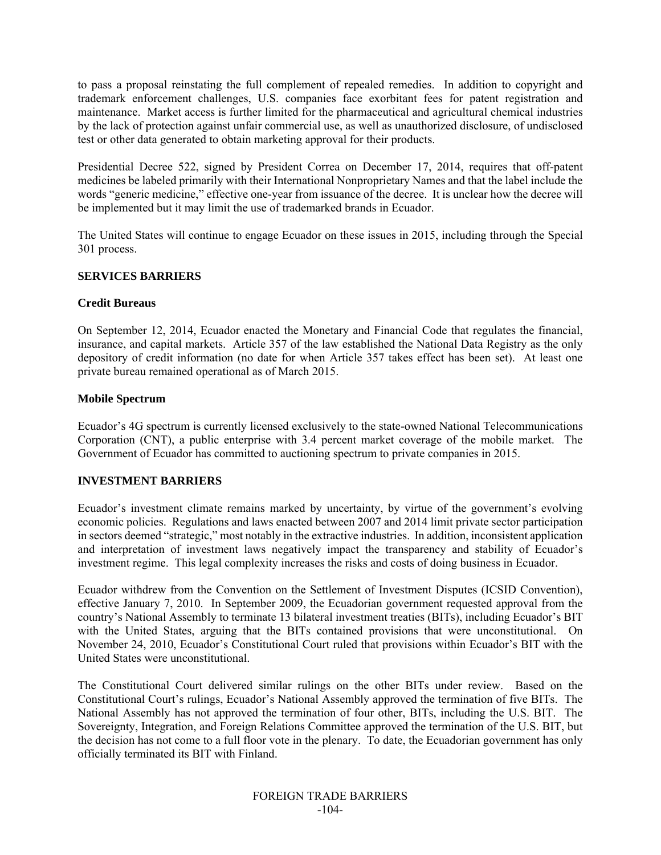to pass a proposal reinstating the full complement of repealed remedies. In addition to copyright and trademark enforcement challenges, U.S. companies face exorbitant fees for patent registration and maintenance. Market access is further limited for the pharmaceutical and agricultural chemical industries by the lack of protection against unfair commercial use, as well as unauthorized disclosure, of undisclosed test or other data generated to obtain marketing approval for their products.

Presidential Decree 522, signed by President Correa on December 17, 2014, requires that off-patent medicines be labeled primarily with their International Nonproprietary Names and that the label include the words "generic medicine," effective one-year from issuance of the decree. It is unclear how the decree will be implemented but it may limit the use of trademarked brands in Ecuador.

The United States will continue to engage Ecuador on these issues in 2015, including through the Special 301 process.

#### **SERVICES BARRIERS**

#### **Credit Bureaus**

On September 12, 2014, Ecuador enacted the Monetary and Financial Code that regulates the financial, insurance, and capital markets. Article 357 of the law established the National Data Registry as the only depository of credit information (no date for when Article 357 takes effect has been set). At least one private bureau remained operational as of March 2015.

#### **Mobile Spectrum**

Ecuador's 4G spectrum is currently licensed exclusively to the state-owned National Telecommunications Corporation (CNT), a public enterprise with 3.4 percent market coverage of the mobile market. The Government of Ecuador has committed to auctioning spectrum to private companies in 2015.

#### **INVESTMENT BARRIERS**

Ecuador's investment climate remains marked by uncertainty, by virtue of the government's evolving economic policies. Regulations and laws enacted between 2007 and 2014 limit private sector participation in sectors deemed "strategic," most notably in the extractive industries. In addition, inconsistent application and interpretation of investment laws negatively impact the transparency and stability of Ecuador's investment regime. This legal complexity increases the risks and costs of doing business in Ecuador.

Ecuador withdrew from the Convention on the Settlement of Investment Disputes (ICSID Convention), effective January 7, 2010. In September 2009, the Ecuadorian government requested approval from the country's National Assembly to terminate 13 bilateral investment treaties (BITs), including Ecuador's BIT with the United States, arguing that the BITs contained provisions that were unconstitutional. On November 24, 2010, Ecuador's Constitutional Court ruled that provisions within Ecuador's BIT with the United States were unconstitutional.

The Constitutional Court delivered similar rulings on the other BITs under review. Based on the Constitutional Court's rulings, Ecuador's National Assembly approved the termination of five BITs. The National Assembly has not approved the termination of four other, BITs, including the U.S. BIT. The Sovereignty, Integration, and Foreign Relations Committee approved the termination of the U.S. BIT, but the decision has not come to a full floor vote in the plenary. To date, the Ecuadorian government has only officially terminated its BIT with Finland.